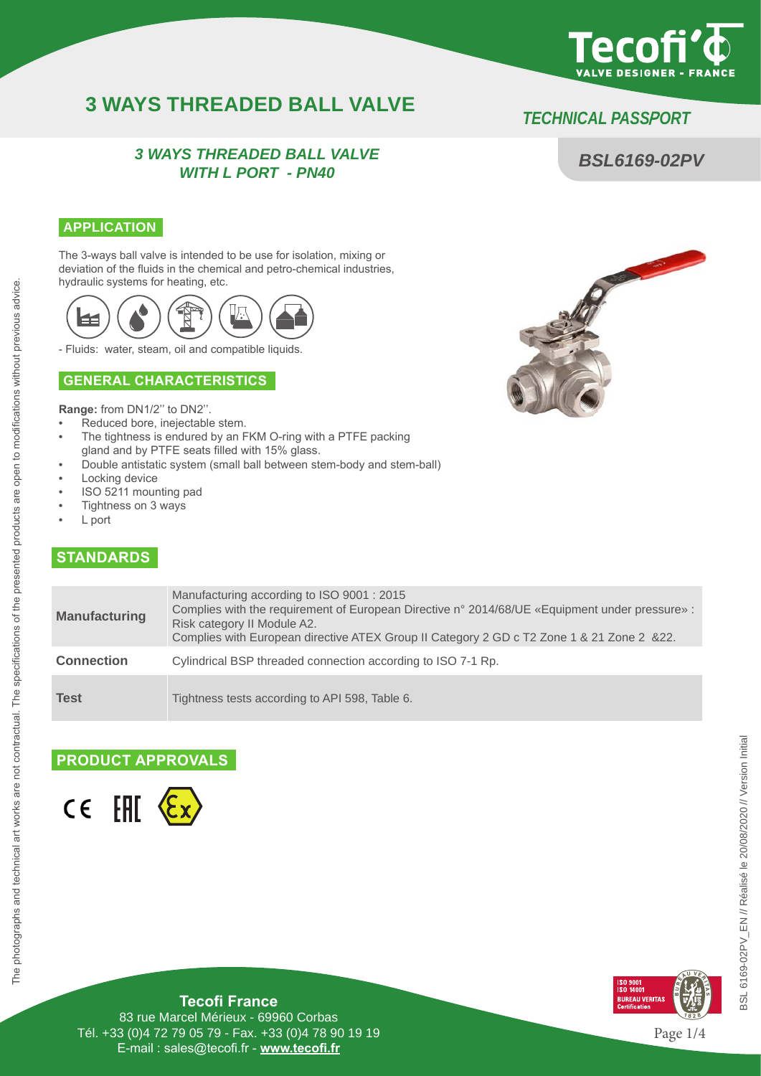

*BSL6169-02PV*

# **3 WAYS THREADED BALL VALVE** *TECHNICAL PASS*P*ORT*

## *3 WAYS THREADED BALL VALVE WITH L PORT - PN40*

### **APPLICATION**

The 3-ways ball valve is intended to be use for isolation, mixing or deviation of the fluids in the chemical and petro-chemical industries, hydraulic systems for heating, etc.



- Fluids: water, steam, oil and compatible liquids.

### **GENERAL CHARACTERISTICS**

**Range:** from DN1/2'' to DN2''.

- Reduced bore, inejectable stem.
- The tightness is endured by an FKM O-ring with a PTFE packing
- gland and by PTFE seats filled with 15% glass.
- Double antistatic system (small ball between stem-body and stem-ball)
- Locking device
- ISO 5211 mounting pad
- Tightness on 3 ways
- L port

The photographs and technical art works are not contractual. The specifications of the presented products are open to modifications without previous advice.

The photographs and technical art works are not contractual. The specifications of the presented products are open to modifications without previous advice.

# **STANDARDS**

| <b>Manufacturing</b> | Manufacturing according to ISO 9001 : 2015<br>Complies with the requirement of European Directive n° 2014/68/UE «Equipment under pressure» :<br>Risk category II Module A2.<br>Complies with European directive ATEX Group II Category 2 GD c T2 Zone 1 & 21 Zone 2 & 22. |
|----------------------|---------------------------------------------------------------------------------------------------------------------------------------------------------------------------------------------------------------------------------------------------------------------------|
| <b>Connection</b>    | Cylindrical BSP threaded connection according to ISO 7-1 Rp.                                                                                                                                                                                                              |
| <b>Test</b>          | Tightness tests according to API 598, Table 6.                                                                                                                                                                                                                            |

## **PRODUCT APPROVALS**





**Tecofi France**

83 rue Marcel Mérieux - 69960 Corbas Tél. +33 (0)4 72 79 05 79 - Fax. +33 (0)4 78 90 19 19 E-mail : sales@tecofi.fr - **www.tecofi.fr**



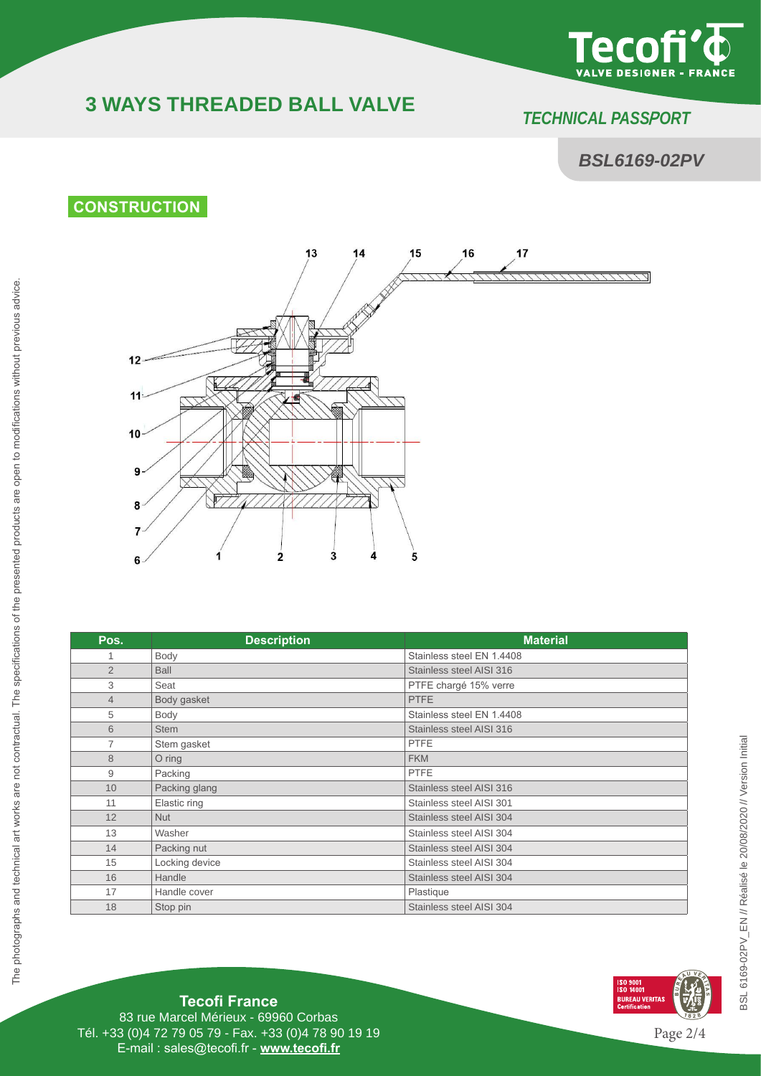

# **3 WAYS THREADED BALL VALVE** *TECHNICAL PASS*P*ORT*

# *BSL6169-02PV*

# **CONSTRUCTION**



| Pos.           | <b>Description</b> | <b>Material</b>           |
|----------------|--------------------|---------------------------|
| 1              | Body               | Stainless steel EN 1.4408 |
| $\overline{2}$ | <b>Ball</b>        | Stainless steel AISI 316  |
| 3              | Seat               | PTFE chargé 15% verre     |
| $\overline{4}$ | Body gasket        | PTFE                      |
| 5              | Body               | Stainless steel EN 1.4408 |
| 6              | <b>Stem</b>        | Stainless steel AISI 316  |
| $\overline{7}$ | Stem gasket        | <b>PTFE</b>               |
| 8              | $O$ ring           | <b>FKM</b>                |
| 9              | Packing            | <b>PTFE</b>               |
| 10             | Packing glang      | Stainless steel AISI 316  |
| 11             | Elastic ring       | Stainless steel AISI 301  |
| 12             | <b>Nut</b>         | Stainless steel AISI 304  |
| 13             | Washer             | Stainless steel AISI 304  |
| 14             | Packing nut        | Stainless steel AISI 304  |
| 15             | Locking device     | Stainless steel AISI 304  |
| 16             | Handle             | Stainless steel AISI 304  |
| 17             | Handle cover       | Plastique                 |
| 18             | Stop pin           | Stainless steel AISI 304  |



**Tecofi France**

83 rue Marcel Mérieux - 69960 Corbas Tél. +33 (0)4 72 79 05 79 - Fax. +33 (0)4 78 90 19 19 E-mail : sales@tecofi.fr - **www.tecofi.fr**

Page 2/4

**ISO 9001<br>ISO 14001<br>BUREAU VERITAS<br>Certification**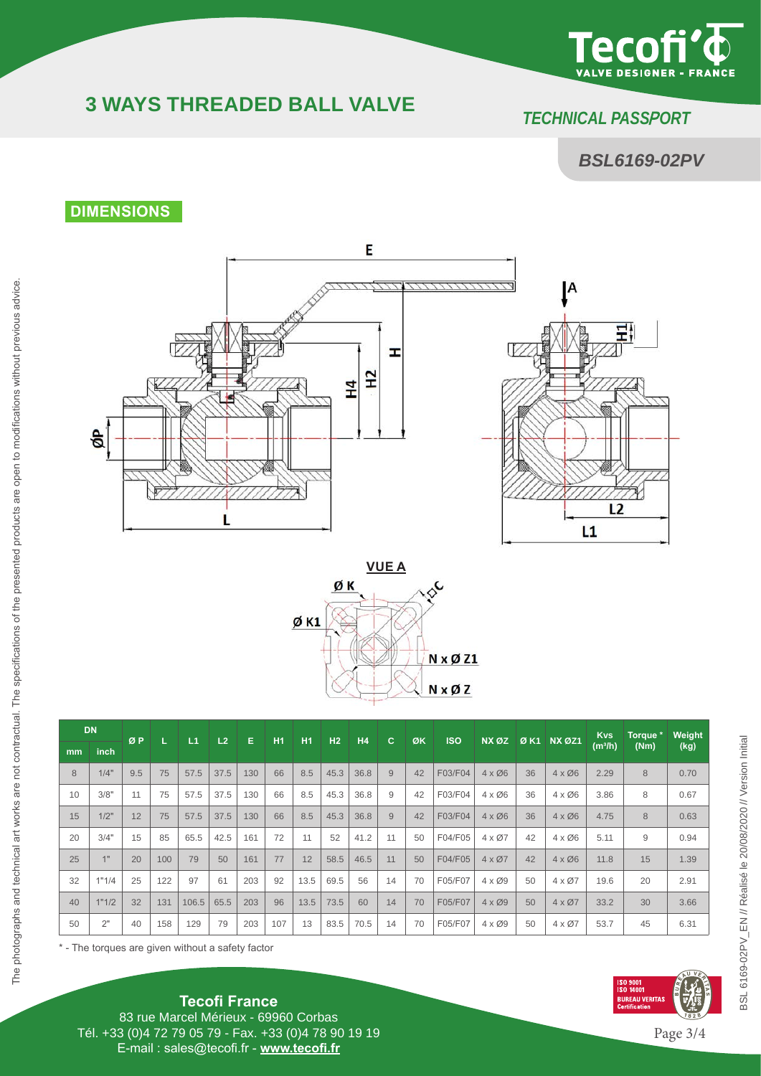

# **3 WAYS THREADED BALL VALVE** *TECHNICAL PASS*P*ORT*

# *BSL6169-02PV*

# **DIMENSIONS**







| <b>DN</b>     |                 | ØP  |     | L1    | L <sub>2</sub> | Е   | H1  | H1   | H <sub>2</sub> | H <sub>4</sub> | c  | ØK | <b>ISO</b> | NX ØZ         |    | <b>ØK1 NX ØZ1</b>      | <b>Kvs</b>          | Torque * | Weight |
|---------------|-----------------|-----|-----|-------|----------------|-----|-----|------|----------------|----------------|----|----|------------|---------------|----|------------------------|---------------------|----------|--------|
| <sub>mm</sub> | inch            |     |     |       |                |     |     |      |                |                |    |    |            |               |    |                        | (m <sup>3</sup> /h) | (Nm)     | (kg)   |
| 8             | 1/4"            | 9.5 | 75  | 57.5  | 37.5           | 130 | 66  | 8.5  | 45.3           | 36.8           | 9  | 42 | F03/F04    | $4 \times 06$ | 36 | $4 \times 06$          | 2.29                | 8        | 0.70   |
| 10            | 3/8"            | 11  | 75  | 57.5  | 37.5           | 130 | 66  | 8.5  | 45.3           | 36.8           | 9  | 42 | F03/F04    | $4 \times 06$ | 36 | $4 \times 06$          | 3.86                | 8        | 0.67   |
| 15            | 1/2"            | 12  | 75  | 57.5  | 37.5           | 130 | 66  | 8.5  | 45.3           | 36.8           | 9  | 42 | F03/F04    | $4 \times 06$ | 36 | $4 \times \emptyset 6$ | 4.75                | 8        | 0.63   |
| 20            | 3/4"            | 15  | 85  | 65.5  | 42.5           | 161 | 72  | 11   | 52             | 41.2           | 11 | 50 | F04/F05    | $4 \times 07$ | 42 | $4 \times 06$          | 5.11                | 9        | 0.94   |
| 25            | 4 <sub>II</sub> | 20  | 100 | 79    | 50             | 161 | 77  | 12   | 58.5           | 46.5           | 11 | 50 | F04/F05    | $4 \times 07$ | 42 | $4 \times \emptyset 6$ | 11.8                | 15       | 1.39   |
| 32            | 1"1/4           | 25  | 122 | 97    | 61             | 203 | 92  | 13.5 | 69.5           | 56             | 14 | 70 | F05/F07    | $4 \times 09$ | 50 | $4 \times 07$          | 19.6                | 20       | 2.91   |
| 40            | 1"1/2           | 32  | 131 | 106.5 | 65.5           | 203 | 96  | 13.5 | 73.5           | 60             | 14 | 70 | F05/F07    | $4 \times 09$ | 50 | $4 \times 07$          | 33.2                | 30       | 3.66   |
| 50            | 2"              | 40  | 158 | 129   | 79             | 203 | 107 | 13   | 83.5           | 70.5           | 14 | 70 | F05/F07    | $4 \times 09$ | 50 | $4 \times 07$          | 53.7                | 45       | 6.31   |

\* - The torques are given without a safety factor



**Tecofi France** 83 rue Marcel Mérieux - 69960 Corbas Tél. +33 (0)4 72 79 05 79 - Fax. +33 (0)4 78 90 19 19 E-mail : sales@tecofi.fr - **www.tecofi.fr**